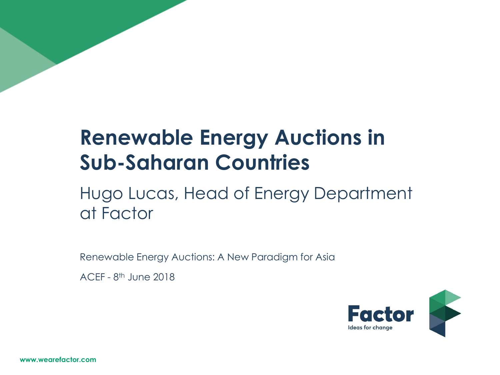## **Renewable Energy Auctions in Sub-Saharan Countries**

## Hugo Lucas, Head of Energy Department at Factor

Renewable Energy Auctions: A New Paradigm for Asia

ACEF - 8 th June 2018

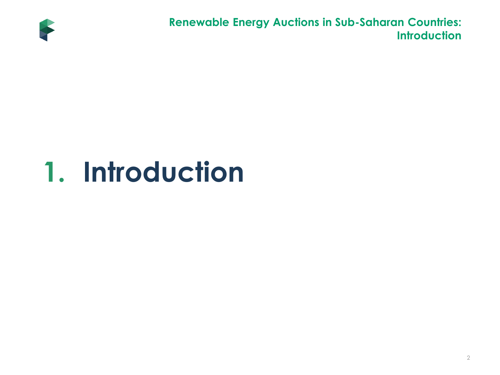

**Renewable Energy Auctions in Sub-Saharan Countries: Introduction**

# **1. Introduction**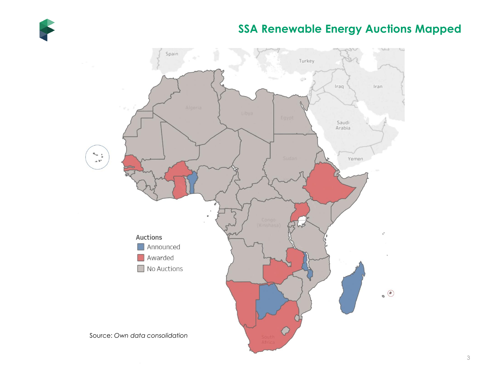

### **SSA Renewable Energy Auctions Mapped**

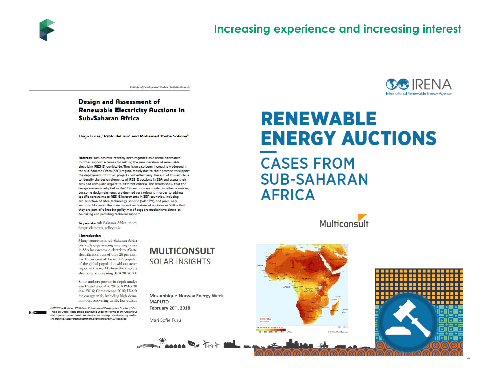

Institute of Development Studies | bulletin.ids.ac.uk

#### **Design and Assessment of Renewable Electricity Auctions in Sub-Saharan Africa**

Hugo Lucas,<sup>1</sup> Pablo del Río<sup>2</sup> and Mohamed Youba Sokona<sup>3</sup>

Abstract Auctions have recently been regarded as a useful alternative to other support schemes for setting the remuneration of renewable electricity (RES-E) worldwide. They have also been increasingly adopted in the sub-Saharan Africa (SSA) region, mostly due to their promise to support the deployment of RES-E projects cost-effectively. The aim of this article is to identify the design elements of RES-E auctions in SSA and assess their pros and cons with respect to different criteria. The results show that the design elements adopted in the SSA auctions are similar to other countries. but some design elements are deemed very relevant in order to address specific constraints to RES-E investments in SSA countries, including pre-selection of sites, technology-specific (solar PV), and price-only auctions. However, the main distinctive feature of auctions in SSA is that they are part of a broader policy mix of support mechanisms aimed at de-risking and providing technical support

Keywords: sub-Saharan Africa, renev design elements, policy mix.

#### 1 Introduction

Many countries in sub-Saharan Africa currently experiencing an energy crisis in SSA lack access to electricity (Caste electrification rate of only 26 per cent has 13 per cent of the world's populat of the global population without acces region in the world where the absolute electricity is increasing (IEA 2014: 30)

Some authors provide in-depth analys (see Castellanos et al. 2015; KPMG 20 et al. 2016; Climatescope 2016; IEA 2 the energy crisis, including high-dema non-cost recovering tariffs, low utilisat

© 2017 The Authors. IDS Bulletin © Institute of Development Studies | DOI: This is an Open Access article distributed under the terms of the Creative Go which permits unrestricted use, distribution, and reproduction in any mediur are credited. http://creativecommons.org/licenses/by/4.0/legalcode

#### **MULTICONSULT SOLAR INSIGHTS**

Mozambique-Norway Energy Week **MAPUTO** February 20th, 2018

Mari Sofie Furu



### **RENEWABLE ENERGY AUCTIONS CASES FROM SUB-SAHARAN AFRICA**

Multiconsult



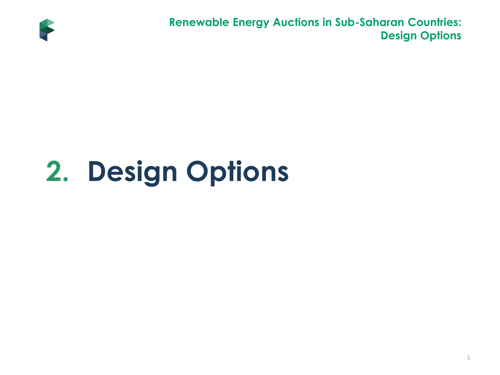

**Renewable Energy Auctions in Sub-Saharan Countries: Design Options**

# **2. Design Options**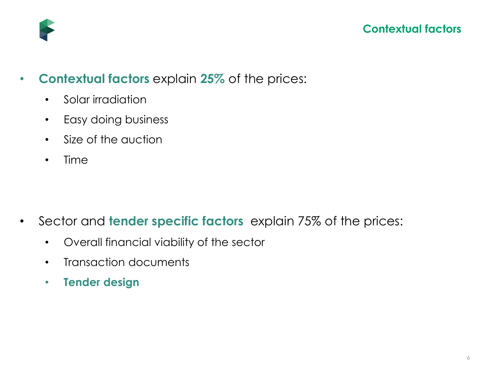

- **Contextual factors** explain **25%** of the prices:
	- Solar irradiation
	- Easy doing business
	- Size of the auction
	- Time

- Sector and **tender specific factors** explain 75% of the prices:
	- Overall financial viability of the sector
	- Transaction documents
	- **Tender design**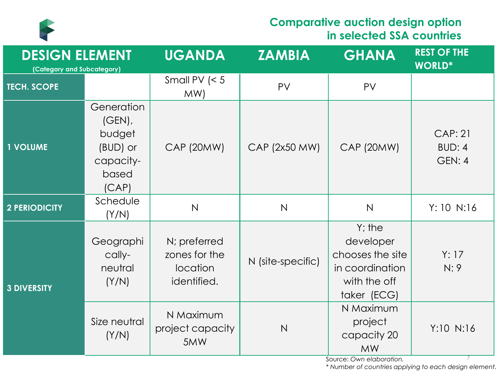

### **Comparative auction design option in selected SSA countries**

| <b>DESIGN ELEMENT</b><br>(Category and Subcategory) |                                                                              | <b>UGANDA</b>                                            | <b>ZAMBIA</b>     | <b>GHANA</b>                                                                                 | <b>REST OF THE</b><br><b>WORLD*</b> |
|-----------------------------------------------------|------------------------------------------------------------------------------|----------------------------------------------------------|-------------------|----------------------------------------------------------------------------------------------|-------------------------------------|
| <b>TECH. SCOPE</b>                                  |                                                                              | Small PV $\leq 5$<br>MW)                                 | PV                | PV                                                                                           |                                     |
| <b>1 VOLUME</b>                                     | Generation<br>$(GEN)$ ,<br>budget<br>(BUD) or<br>capacity-<br>based<br>(CAP) | <b>CAP (20MW)</b>                                        | CAP (2x50 MW)     | <b>CAP (20MW)</b>                                                                            | <b>CAP: 21</b><br>BUD: 4<br>GEN: 4  |
| <b>2 PERIODICITY</b>                                | Schedule<br>(Y/N)                                                            | $\mathsf{N}$                                             | $\mathsf{N}$      | $\mathsf{N}$                                                                                 | Y: 10 N:16                          |
| <b>3 DIVERSITY</b>                                  | Geographi<br>cally-<br>neutral<br>(Y/N)                                      | N; preferred<br>zones for the<br>location<br>identified. | N (site-specific) | $Y$ ; the<br>developer<br>chooses the site<br>in coordination<br>with the off<br>taker (ECG) | Y: 17<br>N:9                        |
|                                                     | Size neutral<br>(Y/N)                                                        | N Maximum<br>project capacity<br>5MW                     | N                 | N Maximum<br>project<br>capacity 20<br><b>MW</b><br>Source: Own elaboration                  | Y:10 N:16                           |

Source: *Own elaboration.* 

*\* Number of countries applying to each design element.*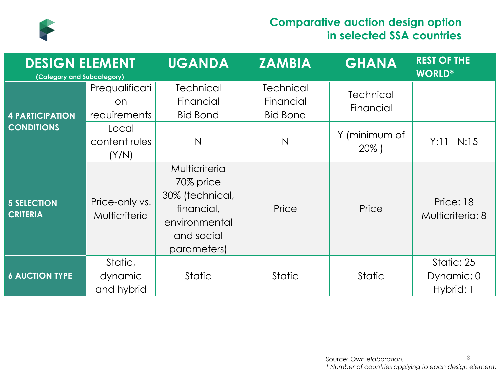

### **Comparative auction design option in selected SSA countries**

| <b>DESIGN ELEMENT</b><br>(Category and Subcategory) |                                        | <b>UGANDA</b>                                                                                             | <b>ZAMBIA</b>                                    | <b>GHANA</b>                  | <b>REST OF THE</b><br><b>WORLD*</b>   |
|-----------------------------------------------------|----------------------------------------|-----------------------------------------------------------------------------------------------------------|--------------------------------------------------|-------------------------------|---------------------------------------|
| <b>4 PARTICIPATION</b>                              | Prequalificati<br>on<br>requirements   | <b>Technical</b><br>Financial<br><b>Bid Bond</b>                                                          | <b>Technical</b><br>Financial<br><b>Bid Bond</b> | <b>Technical</b><br>Financial |                                       |
| <b>CONDITIONS</b>                                   | Local<br>content rules<br>(Y/N)        | $\mathsf{N}$                                                                                              | $\mathsf{N}$                                     | Y (minimum of<br>$20\%$ )     | Y:11 N:15                             |
| <b>5 SELECTION</b><br><b>CRITERIA</b>               | Price-only vs.<br><b>Multicriteria</b> | Multicriteria<br>70% price<br>30% (technical,<br>financial,<br>environmental<br>and social<br>parameters) | Price                                            | Price                         | Price: 18<br>Multicriteria: 8         |
| <b>6 AUCTION TYPE</b>                               | Static,<br>dynamic<br>and hybrid       | <b>Static</b>                                                                                             | <b>Static</b>                                    | <b>Static</b>                 | Static: 25<br>Dynamic: 0<br>Hybrid: 1 |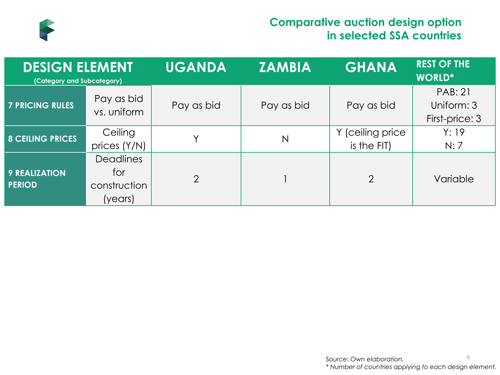

### **Comparative auction design option in selected SSA countries**

| <b>DESIGN ELEMENT</b><br>(Category and Subcategory) |                                                    | <b>UGANDA</b>  | <b>ZAMBIA</b>           | <b>GHANA</b>                    | <b>REST OF THE</b><br><b>WORLD*</b>            |
|-----------------------------------------------------|----------------------------------------------------|----------------|-------------------------|---------------------------------|------------------------------------------------|
| <b>7 PRICING RULES</b>                              | Pay as bid<br>vs. uniform                          | Pay as bid     | Pay as bid              | Pay as bid                      | <b>PAB: 21</b><br>Uniform: 3<br>First-price: 3 |
| <b>8 CEILING PRICES</b>                             | Ceiling<br>prices (Y/N)                            |                | $\overline{\mathsf{N}}$ | Y (ceiling price<br>is the FIT) | Y: 19<br>N:7                                   |
| <b>9 REALIZATION</b><br><b>PERIOD</b>               | <b>Deadlines</b><br>for<br>construction<br>(years) | $\overline{2}$ |                         | 2                               | Variable                                       |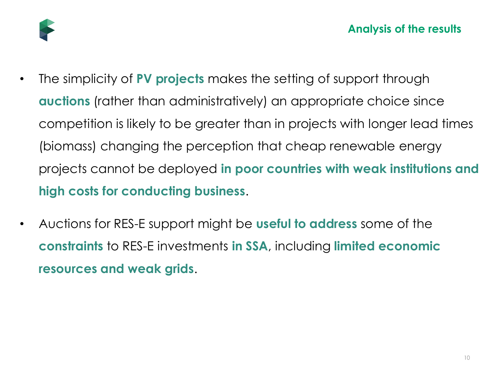

- The simplicity of **PV projects** makes the setting of support through **auctions** (rather than administratively) an appropriate choice since competition is likely to be greater than in projects with longer lead times (biomass) changing the perception that cheap renewable energy projects cannot be deployed **in poor countries with weak institutions and high costs for conducting business**.
- Auctions for RES-E support might be **useful to address** some of the **constraints** to RES-E investments **in SSA**, including **limited economic resources and weak grids**.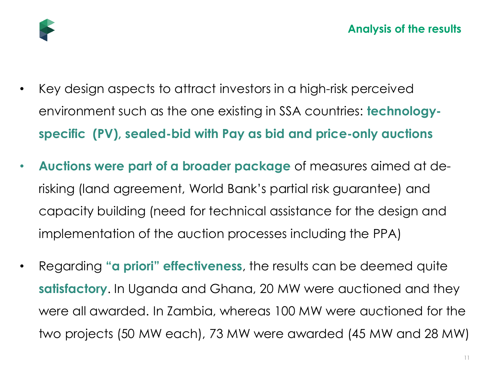

- Key design aspects to attract investors in a high-risk perceived environment such as the one existing in SSA countries: **technologyspecific (PV), sealed-bid with Pay as bid and price-only auctions**
- **Auctions were part of a broader package** of measures aimed at derisking (land agreement, World Bank's partial risk guarantee) and capacity building (need for technical assistance for the design and implementation of the auction processes including the PPA)
- Regarding **"a priori" effectiveness**, the results can be deemed quite **satisfactory**. In Uganda and Ghana, 20 MW were auctioned and they were all awarded. In Zambia, whereas 100 MW were auctioned for the two projects (50 MW each), 73 MW were awarded (45 MW and 28 MW)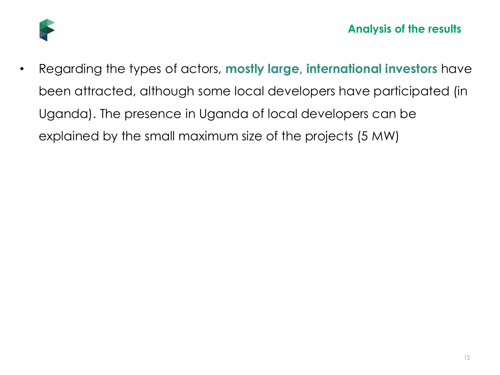

• Regarding the types of actors, **mostly large, international investors** have been attracted, although some local developers have participated (in Uganda). The presence in Uganda of local developers can be explained by the small maximum size of the projects (5 MW)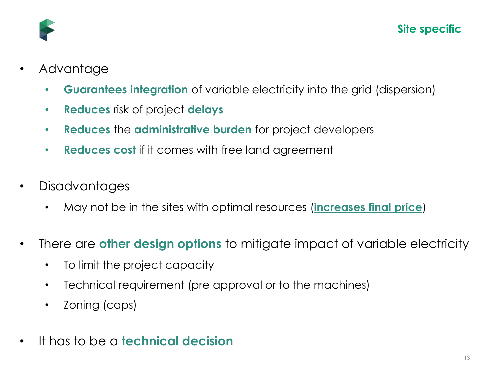

- Advantage
	- **Guarantees integration** of variable electricity into the grid (dispersion)
	- **Reduces** risk of project **delays**
	- **Reduces** the **administrative burden** for project developers
	- **Reduces cost** if it comes with free land agreement
- **Disadvantages** 
	- May not be in the sites with optimal resources (**increases final price**)
- There are **other design options** to mitigate impact of variable electricity
	- To limit the project capacity
	- Technical requirement (pre approval or to the machines)
	- Zoning (caps)
- It has to be a **technical decision**